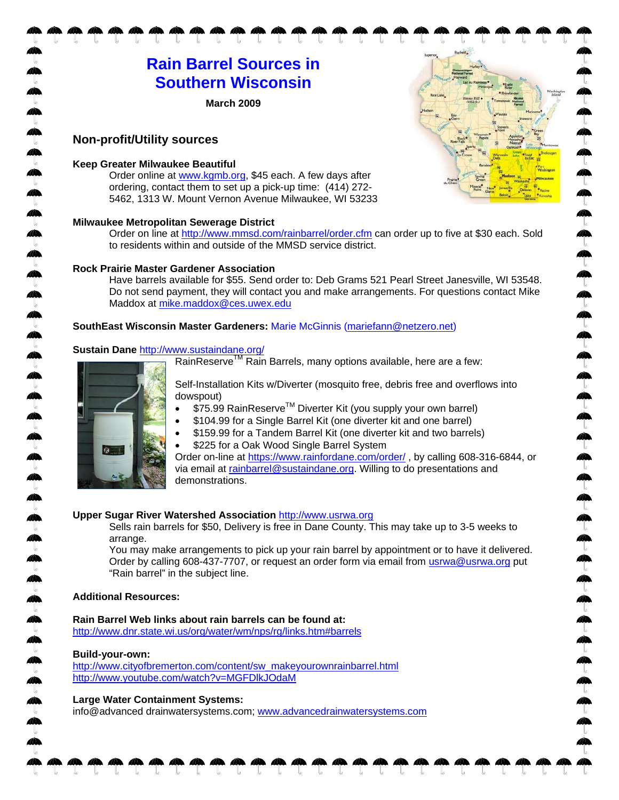# **Rain Barrel Sources in Southern Wisconsin**

**March 2009** 

# **Non-profit/Utility sources**

#### **Keep Greater Milwaukee Beautiful**

Order online at www.kgmb.org, \$45 each. A few days after ordering, contact them to set up a pick-up time: (414) 272- 5462, 1313 W. Mount Vernon Avenue Milwaukee, WI 53233

#### **Milwaukee Metropolitan Sewerage District**

Order on line at http://www.mmsd.com/rainbarrel/order.cfm can order up to five at \$30 each. Sold to residents within and outside of the MMSD service district.

 $\mathbb{A}$ 

#### **Rock Prairie Master Gardener Association**

Have barrels available for \$55. Send order to: Deb Grams 521 Pearl Street Janesville, WI 53548. Do not send payment, they will contact you and make arrangements. For questions contact Mike Maddox at mike.maddox@ces.uwex.edu

## **SouthEast Wisconsin Master Gardeners:** Marie McGinnis (mariefann@netzero.net)

## **Sustain Dane** http://www.sustaindane.org/

RainReserve<sup>TM</sup> Rain Barrels, many options available, here are a few:



Self-Installation Kits w/Diverter (mosquito free, debris free and overflows into dowspout)

- \$75.99 RainReserve™ Diverter Kit (you supply your own barrel)
- \$104.99 for a Single Barrel Kit (one diverter kit and one barrel)
- \$159.99 for a Tandem Barrel Kit (one diverter kit and two barrels)
- \$225 for a Oak Wood Single Barrel System

Order on-line at https://www.rainfordane.com/order/ , by calling 608-316-6844, or via email at rainbarrel@sustaindane.org. Willing to do presentations and demonstrations.

#### **Upper Sugar River Watershed Association** http://www.usrwa.org

Sells rain barrels for \$50, Delivery is free in Dane County. This may take up to 3-5 weeks to arrange.

You may make arrangements to pick up your rain barrel by appointment or to have it delivered. Order by calling 608-437-7707, or request an order form via email from usrwa@usrwa.org put "Rain barrel" in the subject line.

#### **Additional Resources:**

**Rain Barrel Web links about rain barrels can be found at:** http://www.dnr.state.wi.us/org/water/wm/nps/rg/links.htm#barrels

#### **Build-your-own:**

http://www.cityofbremerton.com/content/sw\_makeyourownrainbarrel.html http://www.youtube.com/watch?v=MGFDlkJOdaM

#### **Large Water Containment Systems:**

info@advanced drainwatersystems.com; www.advancedrainwatersystems.com

 $\mathbf{M}$ 

 $\sqrt{2}$